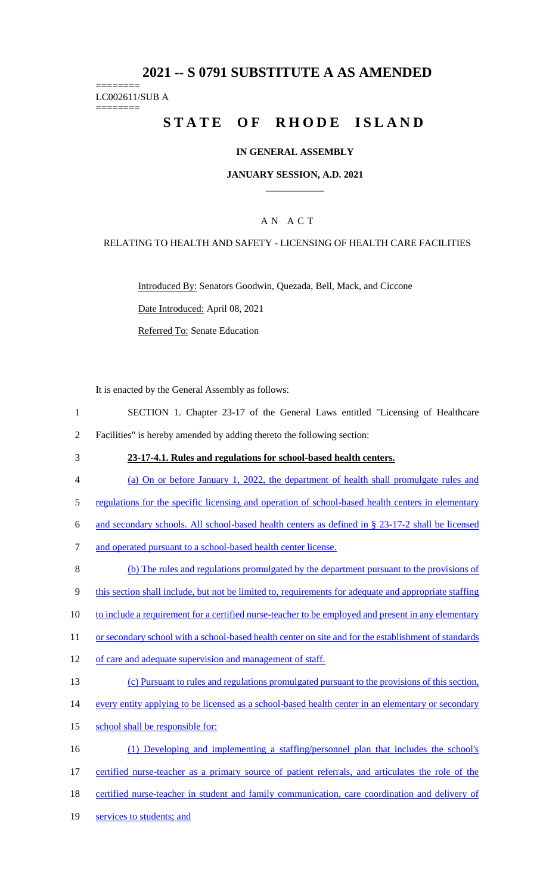# **2021 -- S 0791 SUBSTITUTE A AS AMENDED**

======== LC002611/SUB A ========

# **STATE OF RHODE ISLAND**

## **IN GENERAL ASSEMBLY**

### **JANUARY SESSION, A.D. 2021 \_\_\_\_\_\_\_\_\_\_\_\_**

## A N A C T

## RELATING TO HEALTH AND SAFETY - LICENSING OF HEALTH CARE FACILITIES

Introduced By: Senators Goodwin, Quezada, Bell, Mack, and Ciccone Date Introduced: April 08, 2021 Referred To: Senate Education

It is enacted by the General Assembly as follows:

| SECTION 1. Chapter 23-17 of the General Laws entitled "Licensing of Healthcare" |  |  |  |  |  |
|---------------------------------------------------------------------------------|--|--|--|--|--|
| Facilities" is hereby amended by adding thereto the following section:          |  |  |  |  |  |

- 3 **23-17-4.1. Rules and regulations for school-based health centers.**
- 4 (a) On or before January 1, 2022, the department of health shall promulgate rules and
- 5 regulations for the specific licensing and operation of school-based health centers in elementary
- 6 and secondary schools. All school-based health centers as defined in § 23-17-2 shall be licensed
- 7 and operated pursuant to a school-based health center license.

8 (b) The rules and regulations promulgated by the department pursuant to the provisions of 9 this section shall include, but not be limited to, requirements for adequate and appropriate staffing 10 to include a requirement for a certified nurse-teacher to be employed and present in any elementary 11 or secondary school with a school-based health center on site and for the establishment of standards 12 of care and adequate supervision and management of staff. 13 (c) Pursuant to rules and regulations promulgated pursuant to the provisions of this section, 14 every entity applying to be licensed as a school-based health center in an elementary or secondary 15 school shall be responsible for: 16 (1) Developing and implementing a staffing/personnel plan that includes the school's 17 certified nurse-teacher as a primary source of patient referrals, and articulates the role of the

- 18 certified nurse-teacher in student and family communication, care coordination and delivery of
- 19 services to students; and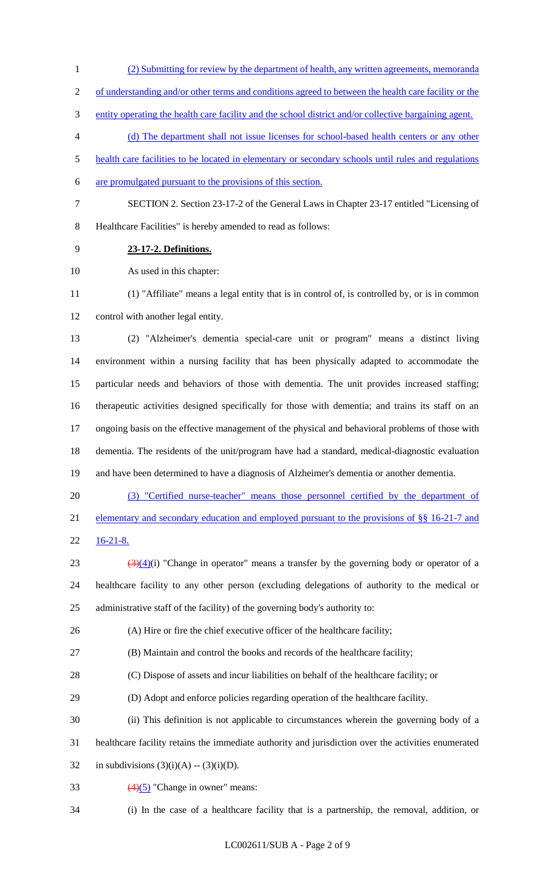- (2) Submitting for review by the department of health, any written agreements, memoranda
- 2 of understanding and/or other terms and conditions agreed to between the health care facility or the
- entity operating the health care facility and the school district and/or collective bargaining agent.
- (d) The department shall not issue licenses for school-based health centers or any other
- health care facilities to be located in elementary or secondary schools until rules and regulations
- are promulgated pursuant to the provisions of this section.
- 
- SECTION 2. Section 23-17-2 of the General Laws in Chapter 23-17 entitled "Licensing of
- Healthcare Facilities" is hereby amended to read as follows:
- **23-17-2. Definitions.**

As used in this chapter:

 (1) "Affiliate" means a legal entity that is in control of, is controlled by, or is in common control with another legal entity.

 (2) "Alzheimer's dementia special-care unit or program" means a distinct living environment within a nursing facility that has been physically adapted to accommodate the particular needs and behaviors of those with dementia. The unit provides increased staffing; therapeutic activities designed specifically for those with dementia; and trains its staff on an ongoing basis on the effective management of the physical and behavioral problems of those with dementia. The residents of the unit/program have had a standard, medical-diagnostic evaluation and have been determined to have a diagnosis of Alzheimer's dementia or another dementia.

 (3) "Certified nurse-teacher" means those personnel certified by the department of elementary and secondary education and employed pursuant to the provisions of §§ 16-21-7 and  $22 \frac{16-21-8.}{2}$ 

23  $(3)(4)(i)$  "Change in operator" means a transfer by the governing body or operator of a healthcare facility to any other person (excluding delegations of authority to the medical or

administrative staff of the facility) of the governing body's authority to:

(A) Hire or fire the chief executive officer of the healthcare facility;

(B) Maintain and control the books and records of the healthcare facility;

(C) Dispose of assets and incur liabilities on behalf of the healthcare facility; or

(D) Adopt and enforce policies regarding operation of the healthcare facility.

(ii) This definition is not applicable to circumstances wherein the governing body of a

healthcare facility retains the immediate authority and jurisdiction over the activities enumerated

32 in subdivisions  $(3)(i)(A) - (3)(i)(D)$ .

- 33  $(4)(5)$  "Change in owner" means:
- (i) In the case of a healthcare facility that is a partnership, the removal, addition, or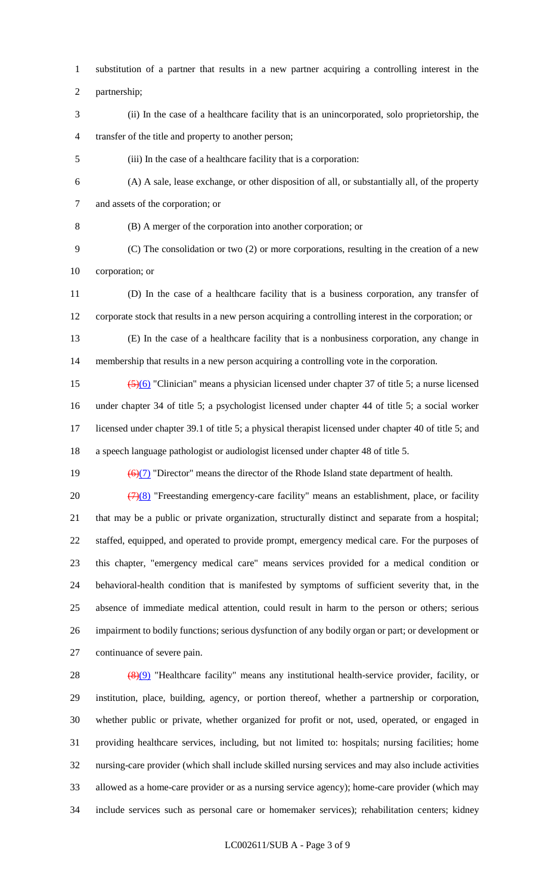substitution of a partner that results in a new partner acquiring a controlling interest in the

partnership;

 (ii) In the case of a healthcare facility that is an unincorporated, solo proprietorship, the transfer of the title and property to another person;

(iii) In the case of a healthcare facility that is a corporation:

(A) A sale, lease exchange, or other disposition of all, or substantially all, of the property

and assets of the corporation; or

(B) A merger of the corporation into another corporation; or

- (C) The consolidation or two (2) or more corporations, resulting in the creation of a new corporation; or
- (D) In the case of a healthcare facility that is a business corporation, any transfer of corporate stock that results in a new person acquiring a controlling interest in the corporation; or
- (E) In the case of a healthcare facility that is a nonbusiness corporation, any change in membership that results in a new person acquiring a controlling vote in the corporation.
- 15  $\left( \frac{5}{6} \right)$  "Clinician" means a physician licensed under chapter 37 of title 5; a nurse licensed under chapter 34 of title 5; a psychologist licensed under chapter 44 of title 5; a social worker licensed under chapter 39.1 of title 5; a physical therapist licensed under chapter 40 of title 5; and a speech language pathologist or audiologist licensed under chapter 48 of title 5.

19  $\left(\frac{6}{7}\right)$  "Director" means the director of the Rhode Island state department of health.

 $(7)(8)$  "Freestanding emergency-care facility" means an establishment, place, or facility that may be a public or private organization, structurally distinct and separate from a hospital; staffed, equipped, and operated to provide prompt, emergency medical care. For the purposes of this chapter, "emergency medical care" means services provided for a medical condition or behavioral-health condition that is manifested by symptoms of sufficient severity that, in the absence of immediate medical attention, could result in harm to the person or others; serious impairment to bodily functions; serious dysfunction of any bodily organ or part; or development or continuance of severe pain.

28 (8)(9) "Healthcare facility" means any institutional health-service provider, facility, or institution, place, building, agency, or portion thereof, whether a partnership or corporation, whether public or private, whether organized for profit or not, used, operated, or engaged in providing healthcare services, including, but not limited to: hospitals; nursing facilities; home nursing-care provider (which shall include skilled nursing services and may also include activities allowed as a home-care provider or as a nursing service agency); home-care provider (which may include services such as personal care or homemaker services); rehabilitation centers; kidney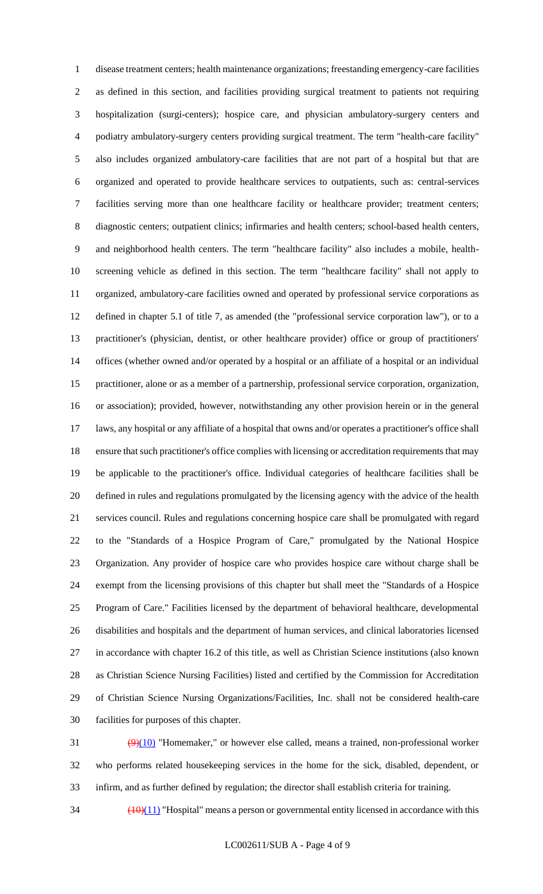disease treatment centers; health maintenance organizations; freestanding emergency-care facilities as defined in this section, and facilities providing surgical treatment to patients not requiring hospitalization (surgi-centers); hospice care, and physician ambulatory-surgery centers and podiatry ambulatory-surgery centers providing surgical treatment. The term "health-care facility" also includes organized ambulatory-care facilities that are not part of a hospital but that are organized and operated to provide healthcare services to outpatients, such as: central-services facilities serving more than one healthcare facility or healthcare provider; treatment centers; diagnostic centers; outpatient clinics; infirmaries and health centers; school-based health centers, and neighborhood health centers. The term "healthcare facility" also includes a mobile, health- screening vehicle as defined in this section. The term "healthcare facility" shall not apply to organized, ambulatory-care facilities owned and operated by professional service corporations as defined in chapter 5.1 of title 7, as amended (the "professional service corporation law"), or to a practitioner's (physician, dentist, or other healthcare provider) office or group of practitioners' offices (whether owned and/or operated by a hospital or an affiliate of a hospital or an individual practitioner, alone or as a member of a partnership, professional service corporation, organization, or association); provided, however, notwithstanding any other provision herein or in the general laws, any hospital or any affiliate of a hospital that owns and/or operates a practitioner's office shall ensure that such practitioner's office complies with licensing or accreditation requirements that may be applicable to the practitioner's office. Individual categories of healthcare facilities shall be defined in rules and regulations promulgated by the licensing agency with the advice of the health services council. Rules and regulations concerning hospice care shall be promulgated with regard to the "Standards of a Hospice Program of Care," promulgated by the National Hospice Organization. Any provider of hospice care who provides hospice care without charge shall be exempt from the licensing provisions of this chapter but shall meet the "Standards of a Hospice Program of Care." Facilities licensed by the department of behavioral healthcare, developmental disabilities and hospitals and the department of human services, and clinical laboratories licensed in accordance with chapter 16.2 of this title, as well as Christian Science institutions (also known as Christian Science Nursing Facilities) listed and certified by the Commission for Accreditation of Christian Science Nursing Organizations/Facilities, Inc. shall not be considered health-care facilities for purposes of this chapter.

 $\left(\frac{9}{10}\right)$  "Homemaker," or however else called, means a trained, non-professional worker who performs related housekeeping services in the home for the sick, disabled, dependent, or infirm, and as further defined by regulation; the director shall establish criteria for training.

 $\frac{(10)(11)}{10}$  "Hospital" means a person or governmental entity licensed in accordance with this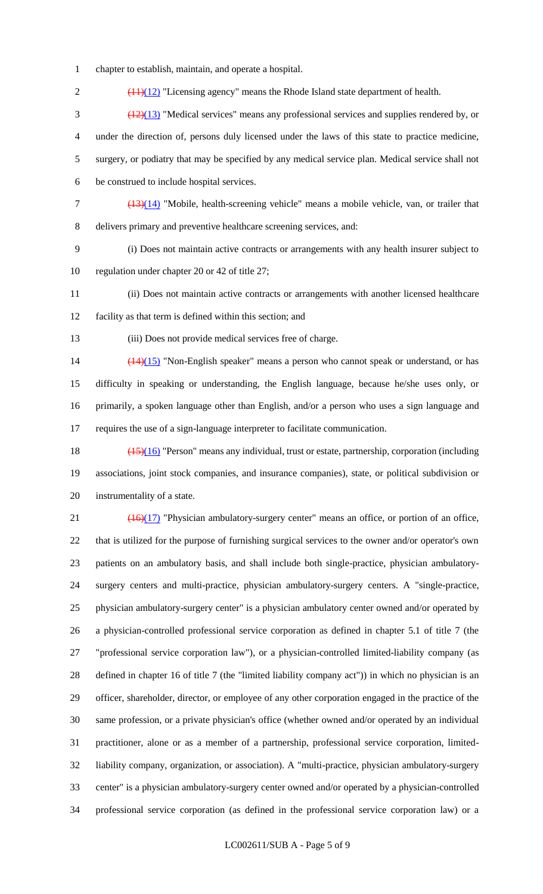chapter to establish, maintain, and operate a hospital.

2 (11)(12) "Licensing agency" means the Rhode Island state department of health. (12)(13) "Medical services" means any professional services and supplies rendered by, or under the direction of, persons duly licensed under the laws of this state to practice medicine, surgery, or podiatry that may be specified by any medical service plan. Medical service shall not be construed to include hospital services.

 (13)(14) "Mobile, health-screening vehicle" means a mobile vehicle, van, or trailer that delivers primary and preventive healthcare screening services, and:

 (i) Does not maintain active contracts or arrangements with any health insurer subject to regulation under chapter 20 or 42 of title 27;

 (ii) Does not maintain active contracts or arrangements with another licensed healthcare facility as that term is defined within this section; and

(iii) Does not provide medical services free of charge.

14 (14)(15) "Non-English speaker" means a person who cannot speak or understand, or has difficulty in speaking or understanding, the English language, because he/she uses only, or primarily, a spoken language other than English, and/or a person who uses a sign language and requires the use of a sign-language interpreter to facilitate communication.

 (15)(16) "Person" means any individual, trust or estate, partnership, corporation (including associations, joint stock companies, and insurance companies), state, or political subdivision or instrumentality of a state.

 $\left(\frac{(16)(17)}{2}\right)$  "Physician ambulatory-surgery center" means an office, or portion of an office, that is utilized for the purpose of furnishing surgical services to the owner and/or operator's own patients on an ambulatory basis, and shall include both single-practice, physician ambulatory- surgery centers and multi-practice, physician ambulatory-surgery centers. A "single-practice, physician ambulatory-surgery center" is a physician ambulatory center owned and/or operated by a physician-controlled professional service corporation as defined in chapter 5.1 of title 7 (the "professional service corporation law"), or a physician-controlled limited-liability company (as defined in chapter 16 of title 7 (the "limited liability company act")) in which no physician is an officer, shareholder, director, or employee of any other corporation engaged in the practice of the same profession, or a private physician's office (whether owned and/or operated by an individual practitioner, alone or as a member of a partnership, professional service corporation, limited- liability company, organization, or association). A "multi-practice, physician ambulatory-surgery center" is a physician ambulatory-surgery center owned and/or operated by a physician-controlled professional service corporation (as defined in the professional service corporation law) or a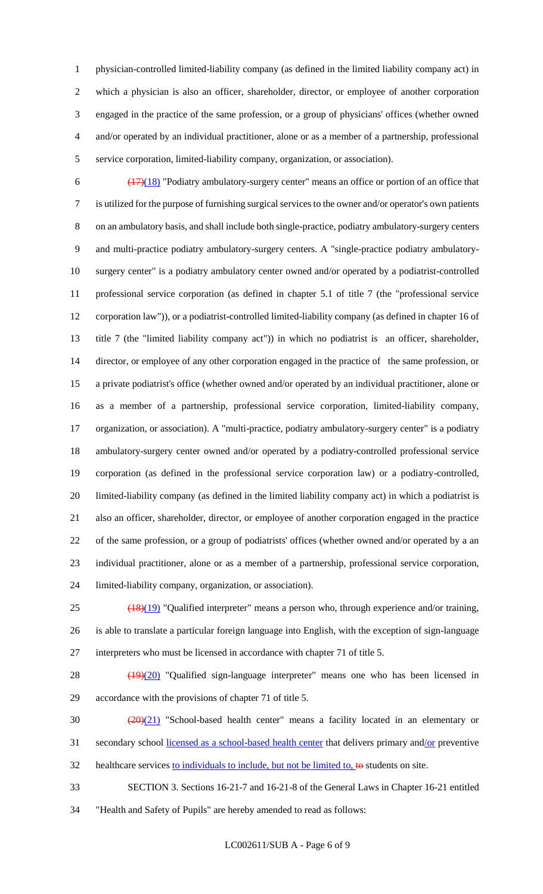physician-controlled limited-liability company (as defined in the limited liability company act) in which a physician is also an officer, shareholder, director, or employee of another corporation engaged in the practice of the same profession, or a group of physicians' offices (whether owned and/or operated by an individual practitioner, alone or as a member of a partnership, professional service corporation, limited-liability company, organization, or association).

 $\frac{(17)(18)}{20}$  "Podiatry ambulatory-surgery center" means an office or portion of an office that is utilized for the purpose of furnishing surgical services to the owner and/or operator's own patients on an ambulatory basis, and shall include both single-practice, podiatry ambulatory-surgery centers and multi-practice podiatry ambulatory-surgery centers. A "single-practice podiatry ambulatory- surgery center" is a podiatry ambulatory center owned and/or operated by a podiatrist-controlled professional service corporation (as defined in chapter 5.1 of title 7 (the "professional service corporation law")), or a podiatrist-controlled limited-liability company (as defined in chapter 16 of title 7 (the "limited liability company act")) in which no podiatrist is an officer, shareholder, director, or employee of any other corporation engaged in the practice of the same profession, or a private podiatrist's office (whether owned and/or operated by an individual practitioner, alone or as a member of a partnership, professional service corporation, limited-liability company, organization, or association). A "multi-practice, podiatry ambulatory-surgery center" is a podiatry ambulatory-surgery center owned and/or operated by a podiatry-controlled professional service corporation (as defined in the professional service corporation law) or a podiatry-controlled, limited-liability company (as defined in the limited liability company act) in which a podiatrist is also an officer, shareholder, director, or employee of another corporation engaged in the practice of the same profession, or a group of podiatrists' offices (whether owned and/or operated by a an individual practitioner, alone or as a member of a partnership, professional service corporation, limited-liability company, organization, or association).

 (18)(19) "Qualified interpreter" means a person who, through experience and/or training, is able to translate a particular foreign language into English, with the exception of sign-language interpreters who must be licensed in accordance with chapter 71 of title 5.

28 (19)(20) "Qualified sign-language interpreter" means one who has been licensed in accordance with the provisions of chapter 71 of title 5.

 (20)(21) "School-based health center" means a facility located in an elementary or 31 secondary school <u>licensed as a school-based health center</u> that delivers primary and/or preventive

32 healthcare services to individuals to include, but not be limited to, to students on site.

 SECTION 3. Sections 16-21-7 and 16-21-8 of the General Laws in Chapter 16-21 entitled "Health and Safety of Pupils" are hereby amended to read as follows: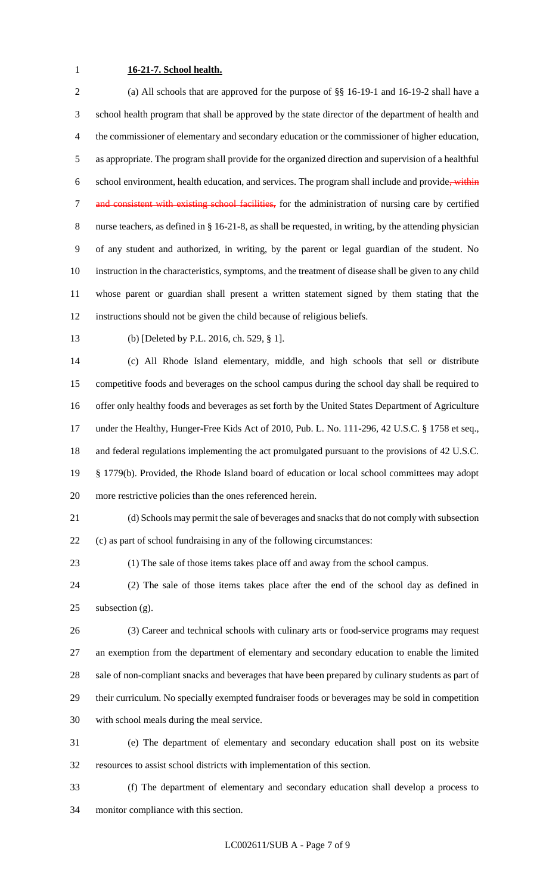# **16-21-7. School health.**

 (a) All schools that are approved for the purpose of §§ 16-19-1 and 16-19-2 shall have a school health program that shall be approved by the state director of the department of health and the commissioner of elementary and secondary education or the commissioner of higher education, as appropriate. The program shall provide for the organized direction and supervision of a healthful 6 school environment, health education, and services. The program shall include and provide, within 7 and consistent with existing school facilities, for the administration of nursing care by certified nurse teachers, as defined in § 16-21-8, as shall be requested, in writing, by the attending physician of any student and authorized, in writing, by the parent or legal guardian of the student. No instruction in the characteristics, symptoms, and the treatment of disease shall be given to any child whose parent or guardian shall present a written statement signed by them stating that the instructions should not be given the child because of religious beliefs.

(b) [Deleted by P.L. 2016, ch. 529, § 1].

 (c) All Rhode Island elementary, middle, and high schools that sell or distribute competitive foods and beverages on the school campus during the school day shall be required to offer only healthy foods and beverages as set forth by the United States Department of Agriculture under the Healthy, Hunger-Free Kids Act of 2010, Pub. L. No. 111-296, 42 U.S.C. § 1758 et seq., and federal regulations implementing the act promulgated pursuant to the provisions of 42 U.S.C. § 1779(b). Provided, the Rhode Island board of education or local school committees may adopt more restrictive policies than the ones referenced herein.

 (d) Schools may permit the sale of beverages and snacks that do not comply with subsection (c) as part of school fundraising in any of the following circumstances:

(1) The sale of those items takes place off and away from the school campus.

 (2) The sale of those items takes place after the end of the school day as defined in 25 subsection  $(g)$ .

 (3) Career and technical schools with culinary arts or food-service programs may request an exemption from the department of elementary and secondary education to enable the limited sale of non-compliant snacks and beverages that have been prepared by culinary students as part of their curriculum. No specially exempted fundraiser foods or beverages may be sold in competition with school meals during the meal service.

 (e) The department of elementary and secondary education shall post on its website resources to assist school districts with implementation of this section.

 (f) The department of elementary and secondary education shall develop a process to monitor compliance with this section.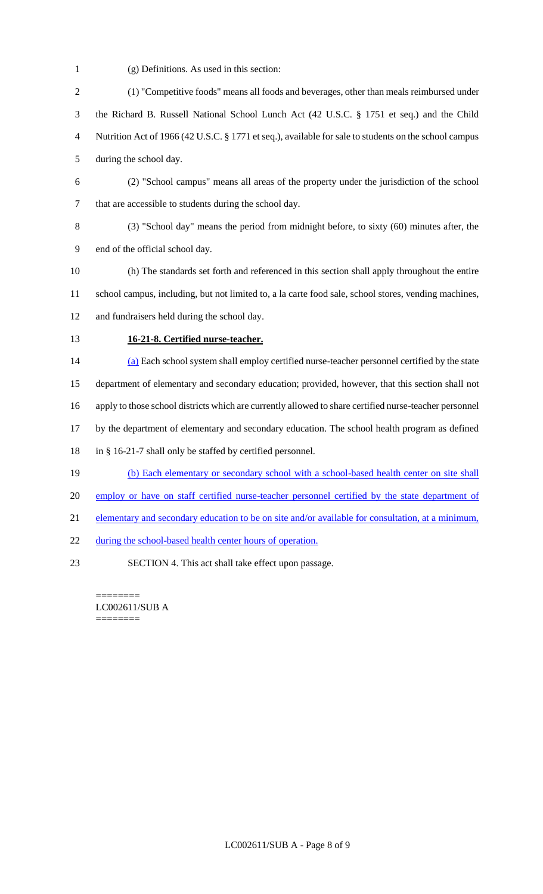- (g) Definitions. As used in this section:
- (1) "Competitive foods" means all foods and beverages, other than meals reimbursed under the Richard B. Russell National School Lunch Act (42 U.S.C. § 1751 et seq.) and the Child Nutrition Act of 1966 (42 U.S.C. § 1771 et seq.), available for sale to students on the school campus during the school day.
- (2) "School campus" means all areas of the property under the jurisdiction of the school that are accessible to students during the school day.
- (3) "School day" means the period from midnight before, to sixty (60) minutes after, the end of the official school day.
- (h) The standards set forth and referenced in this section shall apply throughout the entire school campus, including, but not limited to, a la carte food sale, school stores, vending machines, and fundraisers held during the school day.
- 

## **16-21-8. Certified nurse-teacher.**

 (a) Each school system shall employ certified nurse-teacher personnel certified by the state department of elementary and secondary education; provided, however, that this section shall not apply to those school districts which are currently allowed to share certified nurse-teacher personnel by the department of elementary and secondary education. The school health program as defined in § 16-21-7 shall only be staffed by certified personnel. (b) Each elementary or secondary school with a school-based health center on site shall

- 20 employ or have on staff certified nurse-teacher personnel certified by the state department of
- elementary and secondary education to be on site and/or available for consultation, at a minimum,
- 22 during the school-based health center hours of operation.
- SECTION 4. This act shall take effect upon passage.

======== LC002611/SUB A ========